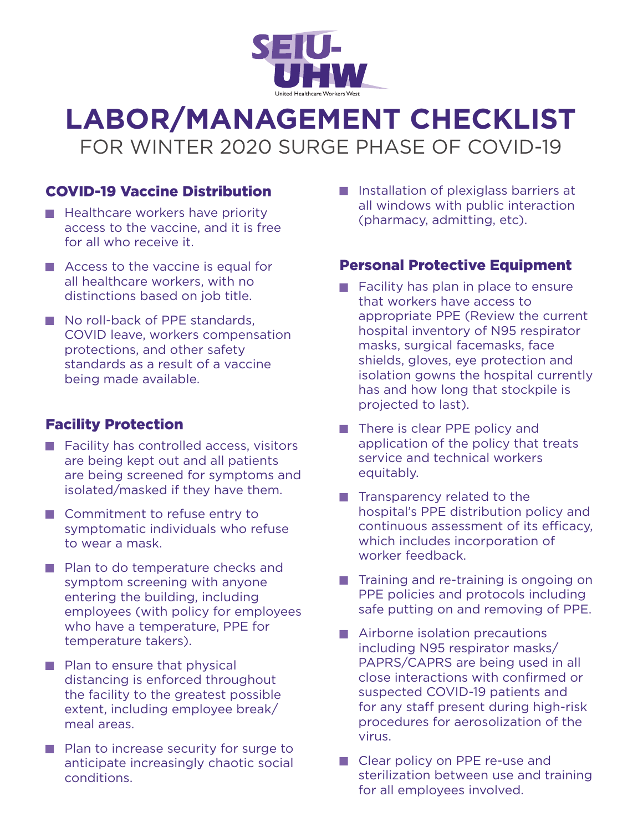

# **LABOR/MANAGEMENT CHECKLIST** FOR WINTER 2020 SURGE PHASE OF COVID-19

# COVID-19 Vaccine Distribution

- $\blacksquare$  Healthcare workers have priority access to the vaccine, and it is free for all who receive it.
- $\blacksquare$  Access to the vaccine is equal for all healthcare workers, with no distinctions based on job title.
- No roll-back of PPE standards, COVID leave, workers compensation protections, and other safety standards as a result of a vaccine being made available.

## Facility Protection

- $\blacksquare$  Facility has controlled access, visitors are being kept out and all patients are being screened for symptoms and isolated/masked if they have them.
- Commitment to refuse entry to symptomatic individuals who refuse to wear a mask.
- **Plan to do temperature checks and** symptom screening with anyone entering the building, including employees (with policy for employees who have a temperature, PPE for temperature takers).
- $\blacksquare$  Plan to ensure that physical distancing is enforced throughout the facility to the greatest possible extent, including employee break/ meal areas.
- $\blacksquare$  Plan to increase security for surge to anticipate increasingly chaotic social conditions.

**I** Installation of plexiglass barriers at all windows with public interaction (pharmacy, admitting, etc).

### Personal Protective Equipment

- Facility has plan in place to ensure that workers have access to appropriate PPE (Review the current hospital inventory of N95 respirator masks, surgical facemasks, face shields, gloves, eye protection and isolation gowns the hospital currently has and how long that stockpile is projected to last).
- $\blacksquare$  There is clear PPE policy and application of the policy that treats service and technical workers equitably.
- $\blacksquare$  Transparency related to the hospital's PPE distribution policy and continuous assessment of its efficacy, which includes incorporation of worker feedback.
- $\blacksquare$  Training and re-training is ongoing on PPE policies and protocols including safe putting on and removing of PPE.
- $\blacksquare$  Airborne isolation precautions including N95 respirator masks/ PAPRS/CAPRS are being used in all close interactions with confirmed or suspected COVID-19 patients and for any staff present during high-risk procedures for aerosolization of the virus.
- Clear policy on PPE re-use and sterilization between use and training for all employees involved.